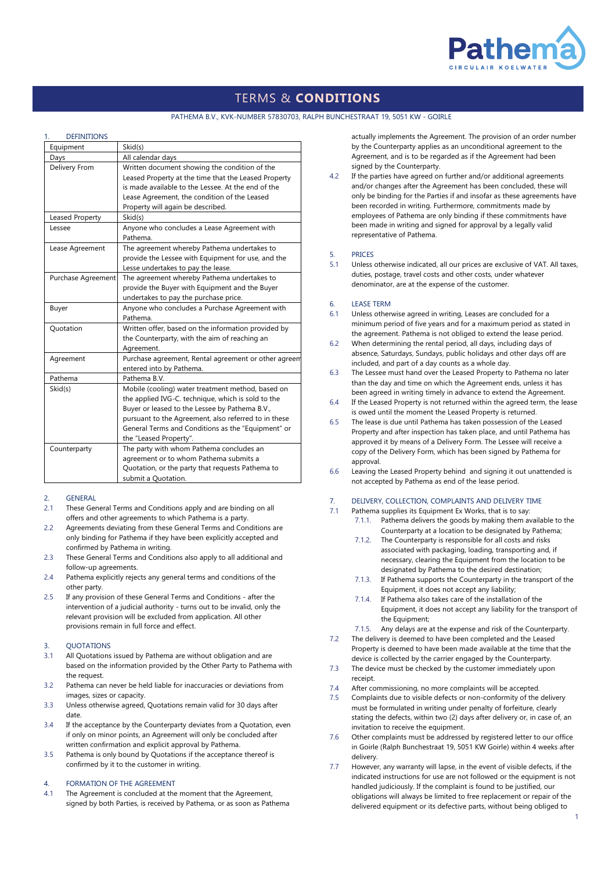

# TERMS & **CONDITIONS**

#### PATHEMA B.V., KVK-NUMBER 57830703, RALPH BUNCHESTRAAT 19, 5051 KW - GOIRLE

#### **DEFINITIONS**

| Equipment          | Skid(s)                                                                                                                                                                                                                                                                                           |
|--------------------|---------------------------------------------------------------------------------------------------------------------------------------------------------------------------------------------------------------------------------------------------------------------------------------------------|
| Days               | All calendar days                                                                                                                                                                                                                                                                                 |
| Delivery From      | Written document showing the condition of the<br>Leased Property at the time that the Leased Property<br>is made available to the Lessee. At the end of the<br>Lease Agreement, the condition of the Leased<br>Property will again be described.                                                  |
| Leased Property    | Skid(s)                                                                                                                                                                                                                                                                                           |
| Lessee             | Anyone who concludes a Lease Agreement with<br>Pathema.                                                                                                                                                                                                                                           |
| Lease Agreement    | The agreement whereby Pathema undertakes to<br>provide the Lessee with Equipment for use, and the<br>Lesse undertakes to pay the lease.                                                                                                                                                           |
| Purchase Agreement | The agreement whereby Pathema undertakes to<br>provide the Buyer with Equipment and the Buyer<br>undertakes to pay the purchase price.                                                                                                                                                            |
| Buyer              | Anyone who concludes a Purchase Agreement with<br>Pathema.                                                                                                                                                                                                                                        |
| Quotation          | Written offer, based on the information provided by<br>the Counterparty, with the aim of reaching an<br>Agreement.                                                                                                                                                                                |
| Agreement          | Purchase agreement, Rental agreement or other agreem<br>entered into by Pathema.                                                                                                                                                                                                                  |
| Pathema            | Pathema B.V.                                                                                                                                                                                                                                                                                      |
| Skid(s)            | Mobile (cooling) water treatment method, based on<br>the applied IVG-C. technique, which is sold to the<br>Buyer or leased to the Lessee by Pathema B.V.,<br>pursuant to the Agreement, also referred to in these<br>General Terms and Conditions as the "Equipment" or<br>the "Leased Property". |
| Counterparty       | The party with whom Pathema concludes an<br>agreement or to whom Pathema submits a<br>Quotation, or the party that requests Pathema to<br>submit a Quotation.                                                                                                                                     |

# 2. GENERAL

- 2.1 These General Terms and Conditions apply and are binding on all offers and other agreements to which Pathema is a party.
- 2.2 Agreements deviating from these General Terms and Conditions are only binding for Pathema if they have been explicitly accepted and confirmed by Pathema in writing.
- 2.3 These General Terms and Conditions also apply to all additional and follow-up agreements.
- 2.4 Pathema explicitly rejects any general terms and conditions of the other party.
- 2.5 If any provision of these General Terms and Conditions after the intervention of a judicial authority - turns out to be invalid, only the relevant provision will be excluded from application. All other provisions remain in full force and effect.

# 3. QUOTATIONS

- 3.1 All Quotations issued by Pathema are without obligation and are based on the information provided by the Other Party to Pathema with the request.
- 3.2 Pathema can never be held liable for inaccuracies or deviations from images, sizes or capacity.
- 3.3 Unless otherwise agreed, Quotations remain valid for 30 days after date.
- 3.4 If the acceptance by the Counterparty deviates from a Quotation, even if only on minor points, an Agreement will only be concluded after written confirmation and explicit approval by Pathema.
- 3.5 Pathema is only bound by Quotations if the acceptance thereof is confirmed by it to the customer in writing.

### 4. FORMATION OF THE AGREEMENT

4.1 The Agreement is concluded at the moment that the Agreement, signed by both Parties, is received by Pathema, or as soon as Pathema actually implements the Agreement. The provision of an order number by the Counterparty applies as an unconditional agreement to the Agreement, and is to be regarded as if the Agreement had been signed by the Counterparty.

4.2 If the parties have agreed on further and/or additional agreements and/or changes after the Agreement has been concluded, these will only be binding for the Parties if and insofar as these agreements have been recorded in writing. Furthermore, commitments made by employees of Pathema are only binding if these commitments have been made in writing and signed for approval by a legally valid representative of Pathema.

### 5. PRICES

5.1 Unless otherwise indicated, all our prices are exclusive of VAT. All taxes, duties, postage, travel costs and other costs, under whatever denominator, are at the expense of the customer.

#### 6. LEASE TERM

- 6.1 Unless otherwise agreed in writing, Leases are concluded for a minimum period of five years and for a maximum period as stated in the agreement. Pathema is not obliged to extend the lease period.
- 6.2 When determining the rental period, all days, including days of absence, Saturdays, Sundays, public holidays and other days off are included, and part of a day counts as a whole day.
- 6.3 The Lessee must hand over the Leased Property to Pathema no later than the day and time on which the Agreement ends, unless it has been agreed in writing timely in advance to extend the Agreement.
- 6.4 If the Leased Property is not returned within the agreed term, the lease is owed until the moment the Leased Property is returned.
- 6.5 The lease is due until Pathema has taken possession of the Leased Property and after inspection has taken place, and until Pathema has approved it by means of a Delivery Form. The Lessee will receive a copy of the Delivery Form, which has been signed by Pathema for approval.
- 6.6 Leaving the Leased Property behind and signing it out unattended is not accepted by Pathema as end of the lease period.

# 7. DELIVERY, COLLECTION, COMPLAINTS AND DELIVERY TIME

- 7.1 Pathema supplies its Equipment Ex Works, that is to say: 7.1.1. Pathema delivers the goods by making them available to the
	- Counterparty at a location to be designated by Pathema; 7.1.2. The Counterparty is responsible for all costs and risks associated with packaging, loading, transporting and, if necessary, clearing the Equipment from the location to be
	- designated by Pathema to the desired destination; 7.1.3. If Pathema supports the Counterparty in the transport of the Equipment, it does not accept any liability;
	- 7.1.4. If Pathema also takes care of the installation of the Equipment, it does not accept any liability for the transport of the Equipment;
- 7.1.5. Any delays are at the expense and risk of the Counterparty. 7.2 The delivery is deemed to have been completed and the Leased
- Property is deemed to have been made available at the time that the device is collected by the carrier engaged by the Counterparty.
- 7.3 The device must be checked by the customer immediately upon receipt.
- 7.4 After commissioning, no more complaints will be accepted.
- 7.5 Complaints due to visible defects or non-conformity of the delivery must be formulated in writing under penalty of forfeiture, clearly stating the defects, within two (2) days after delivery or, in case of, an invitation to receive the equipment.
- 7.6 Other complaints must be addressed by registered letter to our office in Goirle (Ralph Bunchestraat 19, 5051 KW Goirle) within 4 weeks after delivery.
- 7.7 However, any warranty will lapse, in the event of visible defects, if the indicated instructions for use are not followed or the equipment is not handled judiciously. If the complaint is found to be justified, our obligations will always be limited to free replacement or repair of the delivered equipment or its defective parts, without being obliged to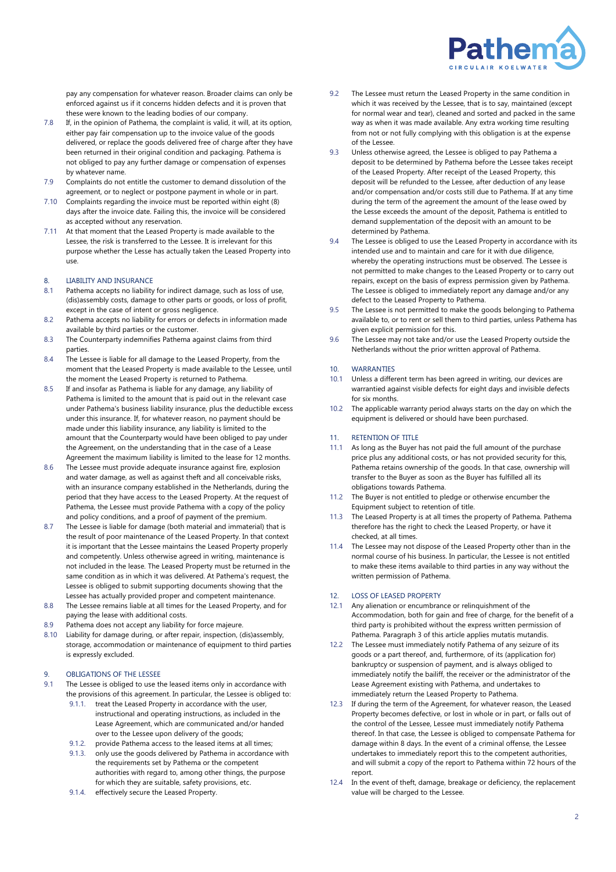

pay any compensation for whatever reason. Broader claims can only be enforced against us if it concerns hidden defects and it is proven that these were known to the leading bodies of our company.

- 7.8 If, in the opinion of Pathema, the complaint is valid, it will, at its option, either pay fair compensation up to the invoice value of the goods delivered, or replace the goods delivered free of charge after they have been returned in their original condition and packaging. Pathema is not obliged to pay any further damage or compensation of expenses by whatever name.
- 7.9 Complaints do not entitle the customer to demand dissolution of the agreement, or to neglect or postpone payment in whole or in part.
- 7.10 Complaints regarding the invoice must be reported within eight (8) days after the invoice date. Failing this, the invoice will be considered as accepted without any reservation.
- 7.11 At that moment that the Leased Property is made available to the Lessee, the risk is transferred to the Lessee. It is irrelevant for this purpose whether the Lesse has actually taken the Leased Property into use.

# 8. LIABILITY AND INSURANCE

- 8.1 Pathema accepts no liability for indirect damage, such as loss of use, (dis)assembly costs, damage to other parts or goods, or loss of profit, except in the case of intent or gross negligence.
- 8.2 Pathema accepts no liability for errors or defects in information made available by third parties or the customer.
- 8.3 The Counterparty indemnifies Pathema against claims from third parties.
- 8.4 The Lessee is liable for all damage to the Leased Property, from the moment that the Leased Property is made available to the Lessee, until the moment the Leased Property is returned to Pathema.
- 8.5 If and insofar as Pathema is liable for any damage, any liability of Pathema is limited to the amount that is paid out in the relevant case under Pathema's business liability insurance, plus the deductible excess under this insurance. If, for whatever reason, no payment should be made under this liability insurance, any liability is limited to the amount that the Counterparty would have been obliged to pay under the Agreement, on the understanding that in the case of a Lease Agreement the maximum liability is limited to the lease for 12 months.
- 8.6 The Lessee must provide adequate insurance against fire, explosion and water damage, as well as against theft and all conceivable risks, with an insurance company established in the Netherlands, during the period that they have access to the Leased Property. At the request of Pathema, the Lessee must provide Pathema with a copy of the policy and policy conditions, and a proof of payment of the premium.
- 8.7 The Lessee is liable for damage (both material and immaterial) that is the result of poor maintenance of the Leased Property. In that context it is important that the Lessee maintains the Leased Property properly and competently. Unless otherwise agreed in writing, maintenance is not included in the lease. The Leased Property must be returned in the same condition as in which it was delivered. At Pathema's request, the Lessee is obliged to submit supporting documents showing that the Lessee has actually provided proper and competent maintenance.
- 8.8 The Lessee remains liable at all times for the Leased Property, and for paying the lease with additional costs.
- 8.9 Pathema does not accept any liability for force majeure.
- 8.10 Liability for damage during, or after repair, inspection, (dis)assembly, storage, accommodation or maintenance of equipment to third parties is expressly excluded.

# 9. OBLIGATIONS OF THE LESSEE

- 9.1 The Lessee is obliged to use the leased items only in accordance with the provisions of this agreement. In particular, the Lessee is obliged to:
	- 9.1.1. treat the Leased Property in accordance with the user, instructional and operating instructions, as included in the Lease Agreement, which are communicated and/or handed over to the Lessee upon delivery of the goods;
	- 9.1.2. provide Pathema access to the leased items at all times; 9.1.3. only use the goods delivered by Pathema in accordance with the requirements set by Pathema or the competent authorities with regard to, among other things, the purpose for which they are suitable, safety provisions, etc.
	- 9.1.4. effectively secure the Leased Property.
- 9.2 The Lessee must return the Leased Property in the same condition in which it was received by the Lessee, that is to say, maintained (except for normal wear and tear), cleaned and sorted and packed in the same way as when it was made available. Any extra working time resulting from not or not fully complying with this obligation is at the expense of the Lessee.
- 9.3 Unless otherwise agreed, the Lessee is obliged to pay Pathema a deposit to be determined by Pathema before the Lessee takes receipt of the Leased Property. After receipt of the Leased Property, this deposit will be refunded to the Lessee, after deduction of any lease and/or compensation and/or costs still due to Pathema. If at any time during the term of the agreement the amount of the lease owed by the Lesse exceeds the amount of the deposit, Pathema is entitled to demand supplementation of the deposit with an amount to be determined by Pathema.
- 9.4 The Lessee is obliged to use the Leased Property in accordance with its intended use and to maintain and care for it with due diligence, whereby the operating instructions must be observed. The Lessee is not permitted to make changes to the Leased Property or to carry out repairs, except on the basis of express permission given by Pathema. The Lessee is obliged to immediately report any damage and/or any defect to the Leased Property to Pathema.
- 9.5 The Lessee is not permitted to make the goods belonging to Pathema available to, or to rent or sell them to third parties, unless Pathema has given explicit permission for this.
- 9.6 The Lessee may not take and/or use the Leased Property outside the Netherlands without the prior written approval of Pathema.

# 10. WARRANTIES

- 10.1 Unless a different term has been agreed in writing, our devices are warrantied against visible defects for eight days and invisible defects for six months.
- 10.2 The applicable warranty period always starts on the day on which the equipment is delivered or should have been purchased.

### 11 RETENTION OF TITLE

- 11.1 As long as the Buyer has not paid the full amount of the purchase price plus any additional costs, or has not provided security for this, Pathema retains ownership of the goods. In that case, ownership will transfer to the Buyer as soon as the Buyer has fulfilled all its obligations towards Pathema.
- 11.2 The Buyer is not entitled to pledge or otherwise encumber the Equipment subject to retention of title.
- 11.3 The Leased Property is at all times the property of Pathema. Pathema therefore has the right to check the Leased Property, or have it checked, at all times.
- 11.4 The Lessee may not dispose of the Leased Property other than in the normal course of his business. In particular, the Lessee is not entitled to make these items available to third parties in any way without the written permission of Pathema.

# 12. LOSS OF LEASED PROPERTY

- 12.1 Any alienation or encumbrance or relinquishment of the Accommodation, both for gain and free of charge, for the benefit of a third party is prohibited without the express written permission of Pathema. Paragraph 3 of this article applies mutatis mutandis.
- 12.2 The Lessee must immediately notify Pathema of any seizure of its goods or a part thereof, and, furthermore, of its (application for) bankruptcy or suspension of payment, and is always obliged to immediately notify the bailiff, the receiver or the administrator of the Lease Agreement existing with Pathema, and undertakes to immediately return the Leased Property to Pathema.
- 12.3 If during the term of the Agreement, for whatever reason, the Leased Property becomes defective, or lost in whole or in part, or falls out of the control of the Lessee, Lessee must immediately notify Pathema thereof. In that case, the Lessee is obliged to compensate Pathema for damage within 8 days. In the event of a criminal offense, the Lessee undertakes to immediately report this to the competent authorities, and will submit a copy of the report to Pathema within 72 hours of the report.
- In the event of theft, damage, breakage or deficiency, the replacement value will be charged to the Lessee.